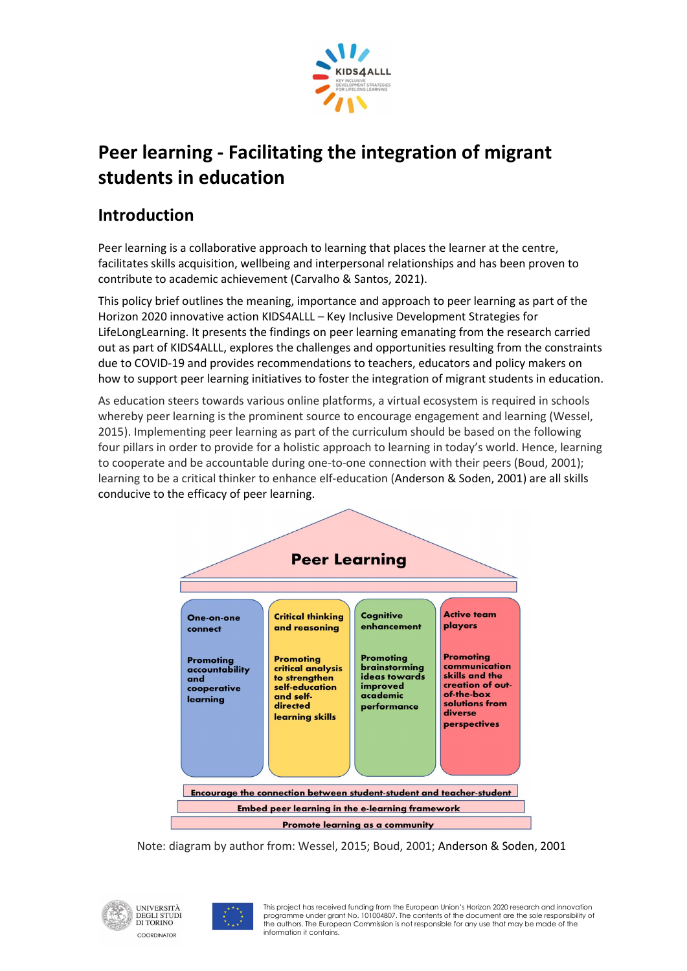

# Peer learning - Facilitating the integration of migrant students in education

## Introduction

Peer learning is a collaborative approach to learning that places the learner at the centre, facilitates skills acquisition, wellbeing and interpersonal relationships and has been proven to contribute to academic achievement (Carvalho & Santos, 2021).

This policy brief outlines the meaning, importance and approach to peer learning as part of the Horizon 2020 innovative action KIDS4ALLL – Key Inclusive Development Strategies for LifeLongLearning. It presents the findings on peer learning emanating from the research carried out as part of KIDS4ALLL, explores the challenges and opportunities resulting from the constraints due to COVID-19 and provides recommendations to teachers, educators and policy makers on how to support peer learning initiatives to foster the integration of migrant students in education.

As education steers towards various online platforms, a virtual ecosystem is required in schools whereby peer learning is the prominent source to encourage engagement and learning (Wessel, 2015). Implementing peer learning as part of the curriculum should be based on the following four pillars in order to provide for a holistic approach to learning in today's world. Hence, learning to cooperate and be accountable during one-to-one connection with their peers (Boud, 2001); learning to be a critical thinker to enhance elf-education (Anderson & Soden, 2001) are all skills conducive to the efficacy of peer learning.



Note: diagram by author from: Wessel, 2015; Boud, 2001; Anderson & Soden, 2001



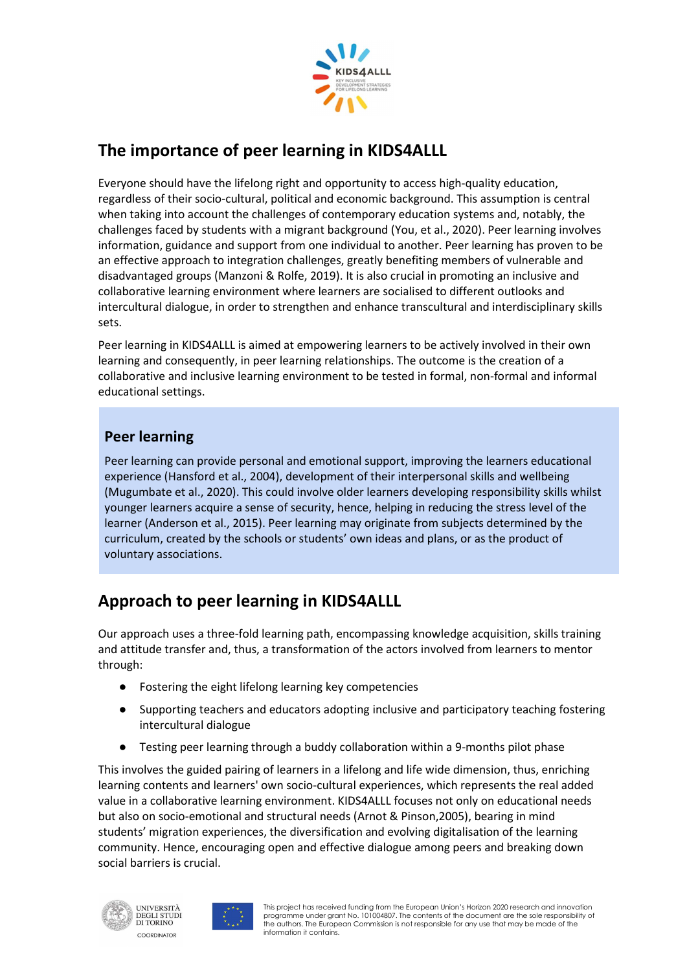

# The importance of peer learning in KIDS4ALLL

Everyone should have the lifelong right and opportunity to access high-quality education, regardless of their socio-cultural, political and economic background. This assumption is central when taking into account the challenges of contemporary education systems and, notably, the challenges faced by students with a migrant background (You, et al., 2020). Peer learning involves information, guidance and support from one individual to another. Peer learning has proven to be an effective approach to integration challenges, greatly benefiting members of vulnerable and disadvantaged groups (Manzoni & Rolfe, 2019). It is also crucial in promoting an inclusive and collaborative learning environment where learners are socialised to different outlooks and intercultural dialogue, in order to strengthen and enhance transcultural and interdisciplinary skills sets.

Peer learning in KIDS4ALLL is aimed at empowering learners to be actively involved in their own learning and consequently, in peer learning relationships. The outcome is the creation of a collaborative and inclusive learning environment to be tested in formal, non-formal and informal educational settings.

### Peer learning

Peer learning can provide personal and emotional support, improving the learners educational experience (Hansford et al., 2004), development of their interpersonal skills and wellbeing (Mugumbate et al., 2020). This could involve older learners developing responsibility skills whilst younger learners acquire a sense of security, hence, helping in reducing the stress level of the learner (Anderson et al., 2015). Peer learning may originate from subjects determined by the curriculum, created by the schools or students' own ideas and plans, or as the product of voluntary associations.

# Approach to peer learning in KIDS4ALLL

Our approach uses a three-fold learning path, encompassing knowledge acquisition, skills training and attitude transfer and, thus, a transformation of the actors involved from learners to mentor through:

- Fostering the eight lifelong learning key competencies
- Supporting teachers and educators adopting inclusive and participatory teaching fostering intercultural dialogue
- Testing peer learning through a buddy collaboration within a 9-months pilot phase

This involves the guided pairing of learners in a lifelong and life wide dimension, thus, enriching learning contents and learners' own socio-cultural experiences, which represents the real added value in a collaborative learning environment. KIDS4ALLL focuses not only on educational needs but also on socio-emotional and structural needs (Arnot & Pinson,2005), bearing in mind students' migration experiences, the diversification and evolving digitalisation of the learning community. Hence, encouraging open and effective dialogue among peers and breaking down social barriers is crucial.



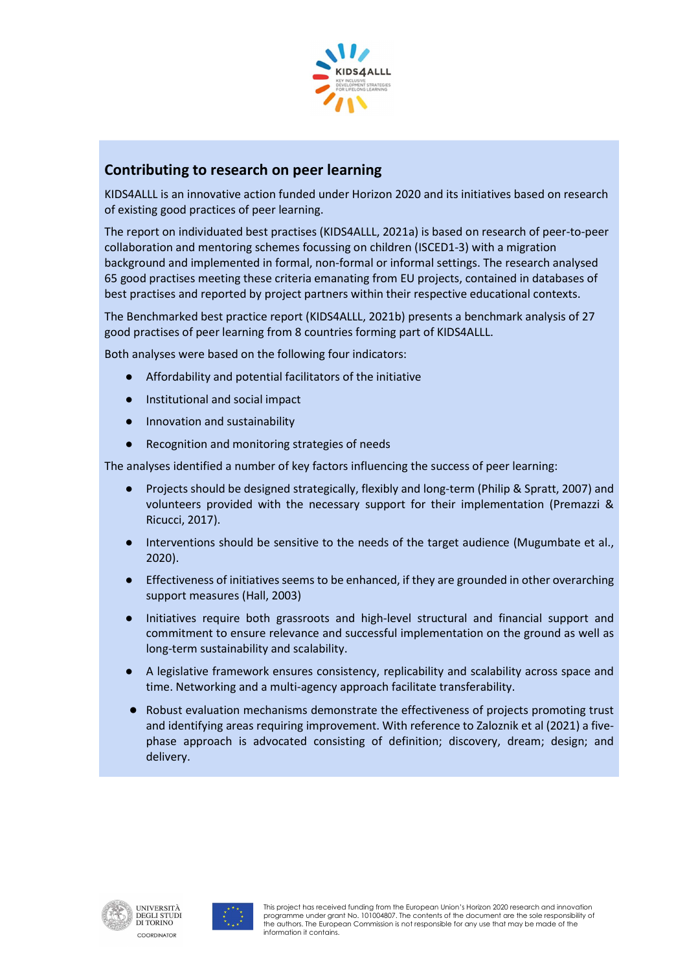

#### Contributing to research on peer learning

KIDS4ALLL is an innovative action funded under Horizon 2020 and its initiatives based on research of existing good practices of peer learning.

The report on individuated best practises (KIDS4ALLL, 2021a) is based on research of peer-to-peer collaboration and mentoring schemes focussing on children (ISCED1-3) with a migration background and implemented in formal, non-formal or informal settings. The research analysed 65 good practises meeting these criteria emanating from EU projects, contained in databases of best practises and reported by project partners within their respective educational contexts.

The Benchmarked best practice report (KIDS4ALLL, 2021b) presents a benchmark analysis of 27 good practises of peer learning from 8 countries forming part of KIDS4ALLL.

Both analyses were based on the following four indicators:

- Affordability and potential facilitators of the initiative
- Institutional and social impact
- Innovation and sustainability
- Recognition and monitoring strategies of needs

The analyses identified a number of key factors influencing the success of peer learning:

- Projects should be designed strategically, flexibly and long-term (Philip & Spratt, 2007) and volunteers provided with the necessary support for their implementation (Premazzi & Ricucci, 2017).
- Interventions should be sensitive to the needs of the target audience (Mugumbate et al., 2020).
- Effectiveness of initiatives seems to be enhanced, if they are grounded in other overarching support measures (Hall, 2003)
- Initiatives require both grassroots and high-level structural and financial support and commitment to ensure relevance and successful implementation on the ground as well as long-term sustainability and scalability.
- A legislative framework ensures consistency, replicability and scalability across space and time. Networking and a multi-agency approach facilitate transferability.
- Robust evaluation mechanisms demonstrate the effectiveness of projects promoting trust and identifying areas requiring improvement. With reference to Zaloznik et al (2021) a fivephase approach is advocated consisting of definition; discovery, dream; design; and delivery.



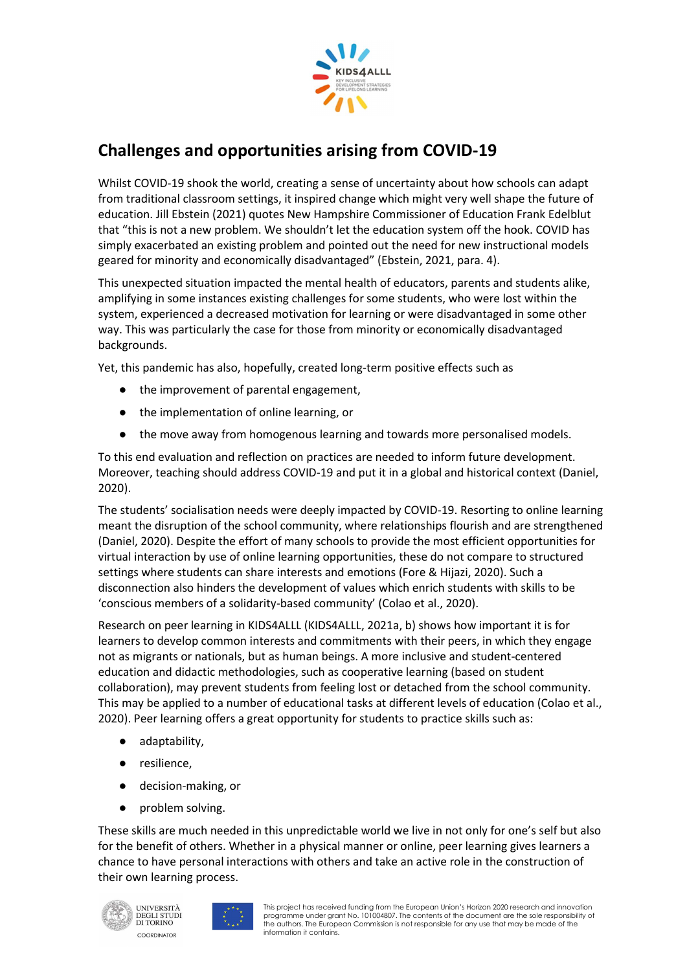

## Challenges and opportunities arising from COVID-19

Whilst COVID-19 shook the world, creating a sense of uncertainty about how schools can adapt from traditional classroom settings, it inspired change which might very well shape the future of education. Jill Ebstein (2021) quotes New Hampshire Commissioner of Education Frank Edelblut that "this is not a new problem. We shouldn't let the education system off the hook. COVID has simply exacerbated an existing problem and pointed out the need for new instructional models geared for minority and economically disadvantaged" (Ebstein, 2021, para. 4).

This unexpected situation impacted the mental health of educators, parents and students alike, amplifying in some instances existing challenges for some students, who were lost within the system, experienced a decreased motivation for learning or were disadvantaged in some other way. This was particularly the case for those from minority or economically disadvantaged backgrounds.

Yet, this pandemic has also, hopefully, created long-term positive effects such as

- the improvement of parental engagement,
- the implementation of online learning, or
- the move away from homogenous learning and towards more personalised models.

To this end evaluation and reflection on practices are needed to inform future development. Moreover, teaching should address COVID-19 and put it in a global and historical context (Daniel, 2020).

The students' socialisation needs were deeply impacted by COVID-19. Resorting to online learning meant the disruption of the school community, where relationships flourish and are strengthened (Daniel, 2020). Despite the effort of many schools to provide the most efficient opportunities for virtual interaction by use of online learning opportunities, these do not compare to structured settings where students can share interests and emotions (Fore & Hijazi, 2020). Such a disconnection also hinders the development of values which enrich students with skills to be 'conscious members of a solidarity-based community' (Colao et al., 2020).

Research on peer learning in KIDS4ALLL (KIDS4ALLL, 2021a, b) shows how important it is for learners to develop common interests and commitments with their peers, in which they engage not as migrants or nationals, but as human beings. A more inclusive and student-centered education and didactic methodologies, such as cooperative learning (based on student collaboration), may prevent students from feeling lost or detached from the school community. This may be applied to a number of educational tasks at different levels of education (Colao et al., 2020). Peer learning offers a great opportunity for students to practice skills such as:

- adaptability,
- resilience,
- decision-making, or
- problem solving.

These skills are much needed in this unpredictable world we live in not only for one's self but also for the benefit of others. Whether in a physical manner or online, peer learning gives learners a chance to have personal interactions with others and take an active role in the construction of their own learning process.



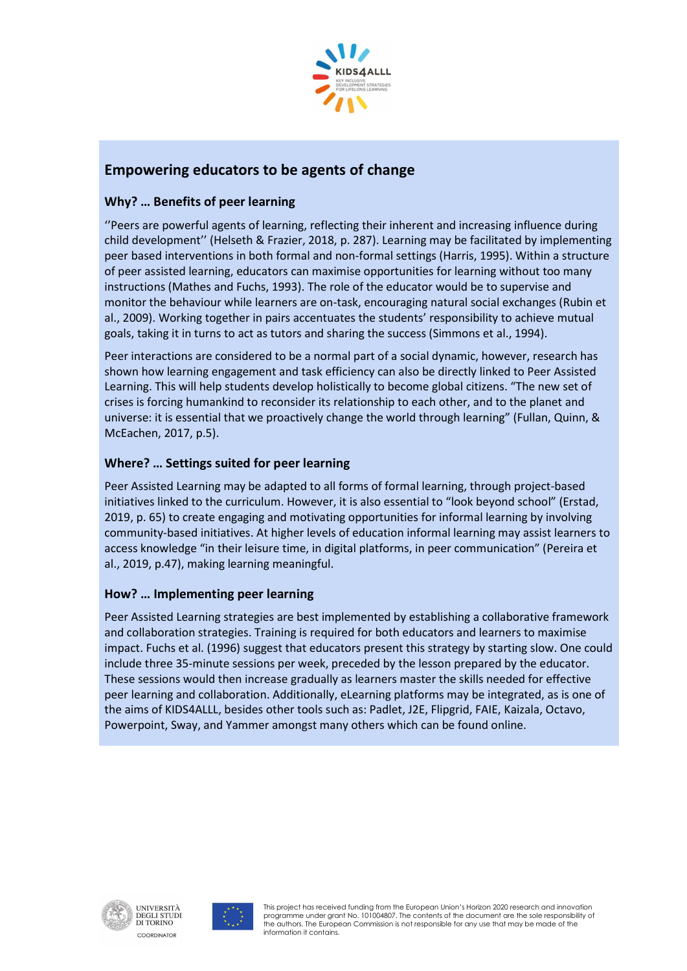

### Empowering educators to be agents of change

#### Why? … Benefits of peer learning

''Peers are powerful agents of learning, reflecting their inherent and increasing influence during child development'' (Helseth & Frazier, 2018, p. 287). Learning may be facilitated by implementing peer based interventions in both formal and non-formal settings (Harris, 1995). Within a structure of peer assisted learning, educators can maximise opportunities for learning without too many instructions (Mathes and Fuchs, 1993). The role of the educator would be to supervise and monitor the behaviour while learners are on-task, encouraging natural social exchanges (Rubin et al., 2009). Working together in pairs accentuates the students' responsibility to achieve mutual goals, taking it in turns to act as tutors and sharing the success (Simmons et al., 1994).

Peer interactions are considered to be a normal part of a social dynamic, however, research has shown how learning engagement and task efficiency can also be directly linked to Peer Assisted Learning. This will help students develop holistically to become global citizens. "The new set of crises is forcing humankind to reconsider its relationship to each other, and to the planet and universe: it is essential that we proactively change the world through learning" (Fullan, Quinn, & McEachen, 2017, p.5).

#### Where? … Settings suited for peer learning

Peer Assisted Learning may be adapted to all forms of formal learning, through project-based initiatives linked to the curriculum. However, it is also essential to "look beyond school" (Erstad, 2019, p. 65) to create engaging and motivating opportunities for informal learning by involving community-based initiatives. At higher levels of education informal learning may assist learners to access knowledge "in their leisure time, in digital platforms, in peer communication" (Pereira et al., 2019, p.47), making learning meaningful.

#### How? … Implementing peer learning

Peer Assisted Learning strategies are best implemented by establishing a collaborative framework and collaboration strategies. Training is required for both educators and learners to maximise impact. Fuchs et al. (1996) suggest that educators present this strategy by starting slow. One could include three 35-minute sessions per week, preceded by the lesson prepared by the educator. These sessions would then increase gradually as learners master the skills needed for effective peer learning and collaboration. Additionally, eLearning platforms may be integrated, as is one of the aims of KIDS4ALLL, besides other tools such as: Padlet, J2E, Flipgrid, FAIE, Kaizala, Octavo, Powerpoint, Sway, and Yammer amongst many others which can be found online.



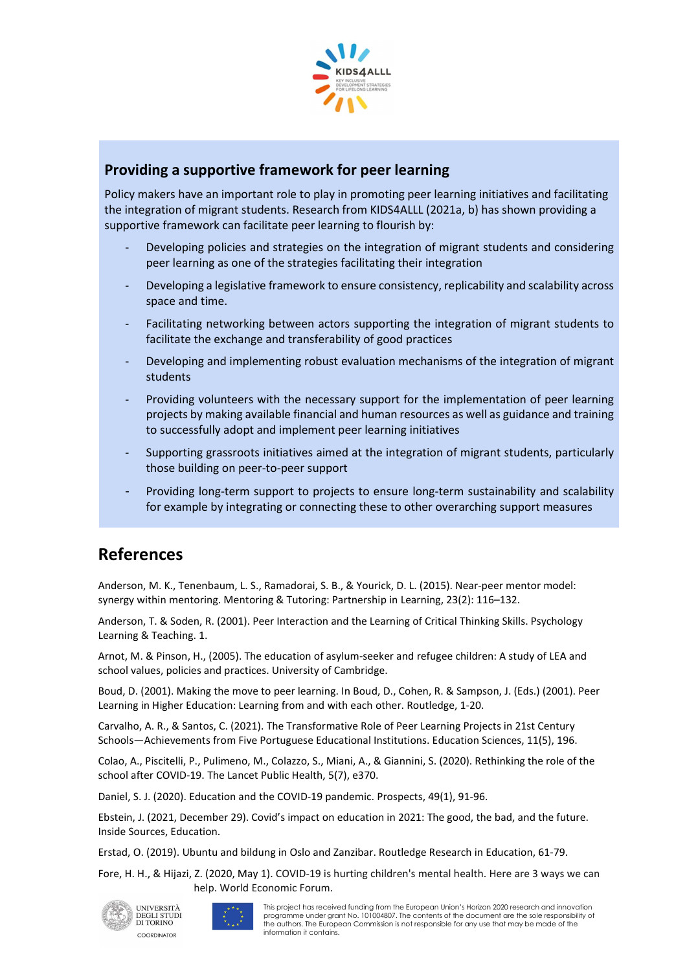

#### Providing a supportive framework for peer learning

Policy makers have an important role to play in promoting peer learning initiatives and facilitating the integration of migrant students. Research from KIDS4ALLL (2021a, b) has shown providing a supportive framework can facilitate peer learning to flourish by:

- Developing policies and strategies on the integration of migrant students and considering peer learning as one of the strategies facilitating their integration
- Developing a legislative framework to ensure consistency, replicability and scalability across space and time.
- Facilitating networking between actors supporting the integration of migrant students to facilitate the exchange and transferability of good practices
- Developing and implementing robust evaluation mechanisms of the integration of migrant students
- Providing volunteers with the necessary support for the implementation of peer learning projects by making available financial and human resources as well as guidance and training to successfully adopt and implement peer learning initiatives
- Supporting grassroots initiatives aimed at the integration of migrant students, particularly those building on peer-to-peer support
- Providing long-term support to projects to ensure long-term sustainability and scalability for example by integrating or connecting these to other overarching support measures

## References

Anderson, M. K., Tenenbaum, L. S., Ramadorai, S. B., & Yourick, D. L. (2015). Near-peer mentor model: synergy within mentoring. Mentoring & Tutoring: Partnership in Learning, 23(2): 116–132.

Anderson, T. & Soden, R. (2001). Peer Interaction and the Learning of Critical Thinking Skills. Psychology Learning & Teaching. 1.

Arnot, M. & Pinson, H., (2005). The education of asylum-seeker and refugee children: A study of LEA and school values, policies and practices. University of Cambridge.

Boud, D. (2001). Making the move to peer learning. In Boud, D., Cohen, R. & Sampson, J. (Eds.) (2001). Peer Learning in Higher Education: Learning from and with each other. Routledge, 1-20.

Carvalho, A. R., & Santos, C. (2021). The Transformative Role of Peer Learning Projects in 21st Century Schools—Achievements from Five Portuguese Educational Institutions. Education Sciences, 11(5), 196.

Colao, A., Piscitelli, P., Pulimeno, M., Colazzo, S., Miani, A., & Giannini, S. (2020). Rethinking the role of the school after COVID-19. The Lancet Public Health, 5(7), e370.

Daniel, S. J. (2020). Education and the COVID-19 pandemic. Prospects, 49(1), 91-96.

Ebstein, J. (2021, December 29). Covid's impact on education in 2021: The good, the bad, and the future. Inside Sources, Education.

Erstad, O. (2019). Ubuntu and bildung in Oslo and Zanzibar. Routledge Research in Education, 61-79.

Fore, H. H., & Hijazi, Z. (2020, May 1). COVID-19 is hurting children's mental health. Here are 3 ways we can help. World Economic Forum.